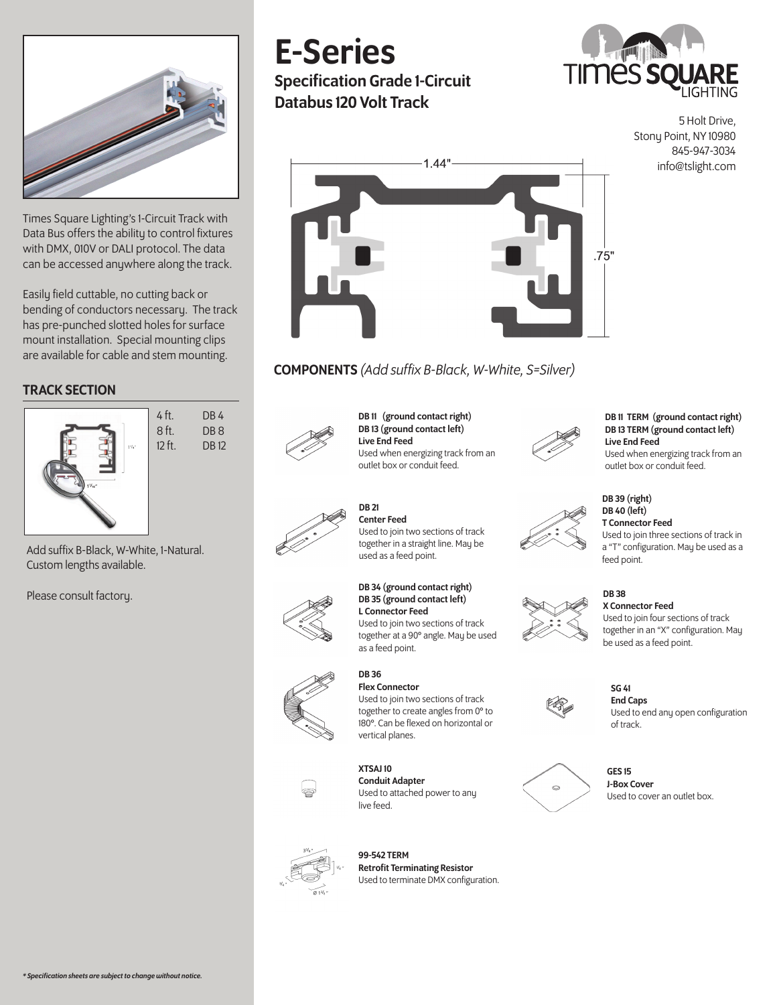

Times Square Lighting's 1-Circuit Track with Data Bus offers the ability to control fixtures with DMX, 010V or DALI protocol. The data can be accessed anywhere along the track.

Easily field cuttable, no cutting back or bending of conductors necessary. The track has pre-punched slotted holes for surface mount installation. Special mounting clips are available for cable and stem mounting.

## TRACK SECTION



Add suffix B-Black, W-White, 1-Natural. Custom lengths available.

Please consult factory.

# E-Series

Specification Grade 1-Circuit Databus 120 Volt Track



5 Holt Drive, Stony Point, NY 10980 845-947-3034 info@tslight.com



# COMPONENTS *(Add suffix B-Black, W-White, S=Silver)*



DB 11 (ground contact right) DB 13 (ground contact left) Live End Feed Used when energizing track from an outlet box or conduit feed.



#### DB 11 TERM (ground contact right) DB 13 TERM (ground contact left) Live End Feed Used when energizing track from an outlet box or conduit feed.



T Connector Feed Used to join three sections of track in a "T" configuration. May be used as a feed point.

# DB 38

SG 41

DB 39 (right) DB 40 (left)

X Connector Feed Used to join four sections of track together in an "X" configuration. May be used as a feed point.



End Caps Used to end any open configuration of track.



GES 15 J-Box Cover Used to cover an outlet box.



Center Feed Used to join two sections of track together in a straight line. May be used as a feed point.

DB 21

#### DB 34 (ground contact right) DB 35 (ground contact left) L Connector Feed Used to join two sections of track

together at a 90° angle. May be used as a feed point.

#### DB 36 Flex Connector Used to join two sections of track together to create angles from 0° to 180°. Can be flexed on horizontal or



XTSAJ 10 Conduit Adapter Used to attached power to any live feed.

vertical planes.



99-542 TERM Retrofit Terminating Resistor Used to terminate DMX configuration.